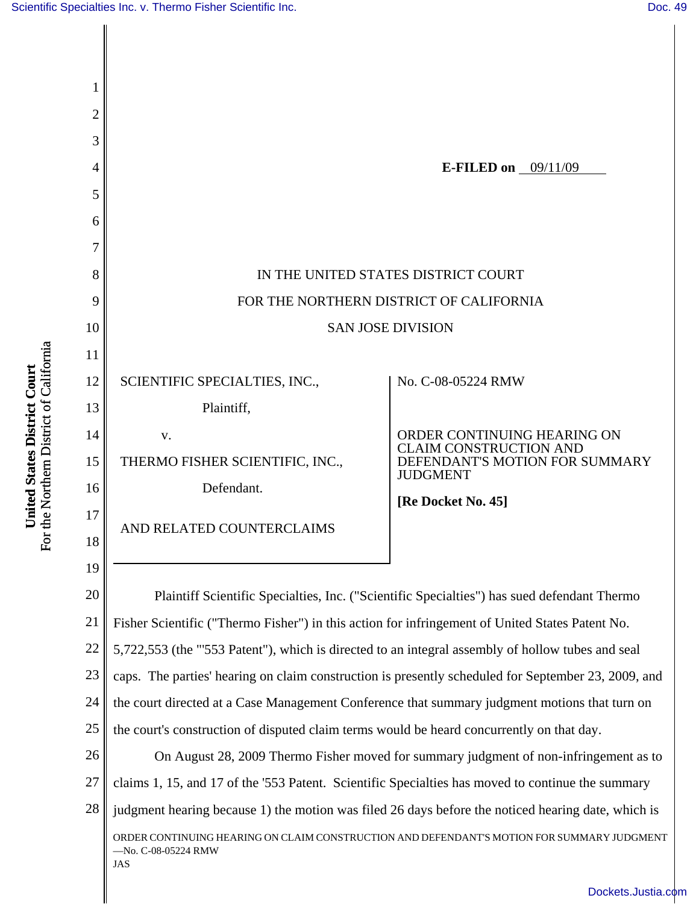

[Dockets.Justia.com](http://dockets.justia.com/)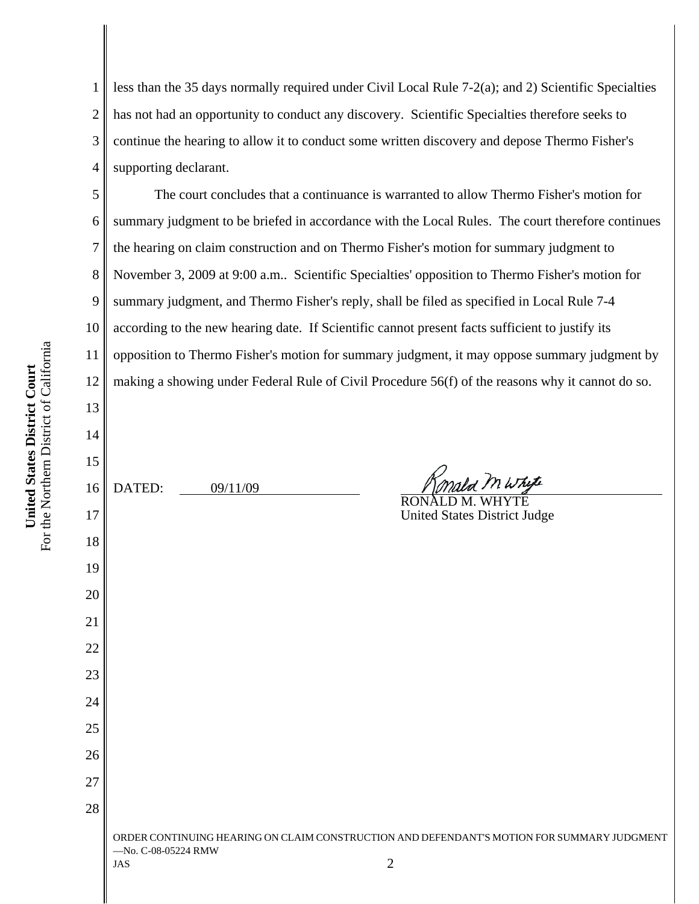1 2 3 4 less than the 35 days normally required under Civil Local Rule 7-2(a); and 2) Scientific Specialties has not had an opportunity to conduct any discovery. Scientific Specialties therefore seeks to continue the hearing to allow it to conduct some written discovery and depose Thermo Fisher's supporting declarant.

The court concludes that a continuance is warranted to allow Thermo Fisher's motion for summary judgment to be briefed in accordance with the Local Rules. The court therefore continues the hearing on claim construction and on Thermo Fisher's motion for summary judgment to November 3, 2009 at 9:00 a.m.. Scientific Specialties' opposition to Thermo Fisher's motion for summary judgment, and Thermo Fisher's reply, shall be filed as specified in Local Rule 7-4 according to the new hearing date. If Scientific cannot present facts sufficient to justify its opposition to Thermo Fisher's motion for summary judgment, it may oppose summary judgment by making a showing under Federal Rule of Civil Procedure 56(f) of the reasons why it cannot do so.

14 15 16 17 18 19 20 21 22 23 24 25 26 27 28 ORDER CONTINUING HEARING ON CLAIM CONSTRUCTION AND DEFENDANT'S MOTION FOR SUMMARY JUDGMENT —No. C-08-05224 RMW  $\sqrt{2}$ DATED: 09/11/09 RONALD M. WHYTE United States District Judge

5

6

7

8

9

10

11

12

13